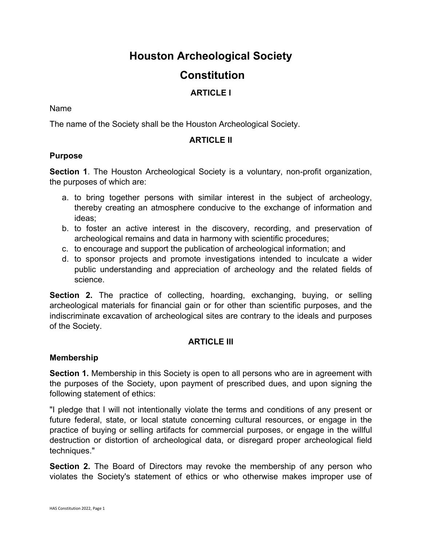# **Houston Archeological Society**

## **Constitution**

## **ARTICLE I**

#### Name

The name of the Society shall be the Houston Archeological Society.

## **ARTICLE II**

#### **Purpose**

**Section 1**. The Houston Archeological Society is a voluntary, non-profit organization, the purposes of which are:

- a. to bring together persons with similar interest in the subject of archeology, thereby creating an atmosphere conducive to the exchange of information and ideas;
- b. to foster an active interest in the discovery, recording, and preservation of archeological remains and data in harmony with scientific procedures;
- c. to encourage and support the publication of archeological information; and
- d. to sponsor projects and promote investigations intended to inculcate a wider public understanding and appreciation of archeology and the related fields of science.

**Section 2.** The practice of collecting, hoarding, exchanging, buying, or selling archeological materials for financial gain or for other than scientific purposes, and the indiscriminate excavation of archeological sites are contrary to the ideals and purposes of the Society.

## **ARTICLE III**

## **Membership**

**Section 1.** Membership in this Society is open to all persons who are in agreement with the purposes of the Society, upon payment of prescribed dues, and upon signing the following statement of ethics:

"I pledge that I will not intentionally violate the terms and conditions of any present or future federal, state, or local statute concerning cultural resources, or engage in the practice of buying or selling artifacts for commercial purposes, or engage in the willful destruction or distortion of archeological data, or disregard proper archeological field techniques."

**Section 2.** The Board of Directors may revoke the membership of any person who violates the Society's statement of ethics or who otherwise makes improper use of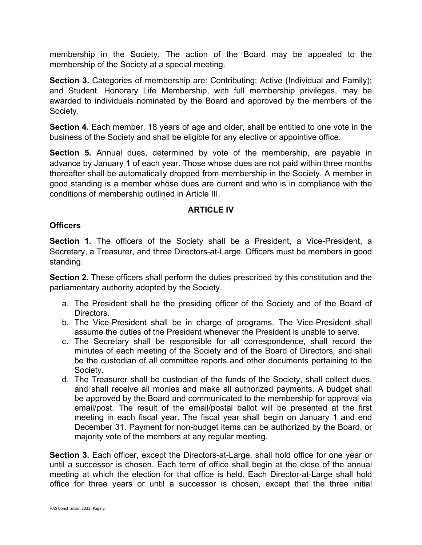membership in the Society. The action of the Board may be appealed to the membership of the Society at a special meeting.

**Section 3.** Categories of membership are: Contributing; Active (Individual and Family); and Student. Honorary Life Membership, with full membership privileges, may be awarded to individuals nominated by the Board and approved by the members of the Society.

**Section 4.** Each member, 18 years of age and older, shall be entitled to one vote in the business of the Society and shall be eligible for any elective or appointive office.

**Section 5.** Annual dues, determined by vote of the membership, are payable in advance by January 1 of each year. Those whose dues are not paid within three months thereafter shall be automatically dropped from membership in the Society. A member in good standing is a member whose dues are current and who is in compliance with the conditions of membership outlined in Article III.

## **ARTICLE IV**

## **Officers**

**Section 1.** The officers of the Society shall be a President, a Vice-President, a Secretary, a Treasurer, and three Directors-at-Large. Officers must be members in good standing.

**Section 2.** These officers shall perform the duties prescribed by this constitution and the parliamentary authority adopted by the Society.

- a. The President shall be the presiding officer of the Society and of the Board of Directors.
- b. The Vice-President shall be in charge of programs. The Vice-President shall assume the duties of the President whenever the President is unable to serve.
- c. The Secretary shall be responsible for all correspondence, shall record the minutes of each meeting of the Society and of the Board of Directors, and shall be the custodian of all committee reports and other documents pertaining to the Society.
- d. The Treasurer shall be custodian of the funds of the Society, shall collect dues, and shall receive all monies and make all authorized payments. A budget shall be approved by the Board and communicated to the membership for approval via email/post. The result of the email/postal ballot will be presented at the first meeting in each fiscal year. The fiscal year shall begin on January 1 and end December 31. Payment for non-budget items can be authorized by the Board, or majority vote of the members at any regular meeting.

**Section 3.** Each officer, except the Directors-at-Large, shall hold office for one year or until a successor is chosen. Each term of office shall begin at the close of the annual meeting at which the election for that office is held. Each Director-at-Large shall hold office for three years or until a successor is chosen, except that the three initial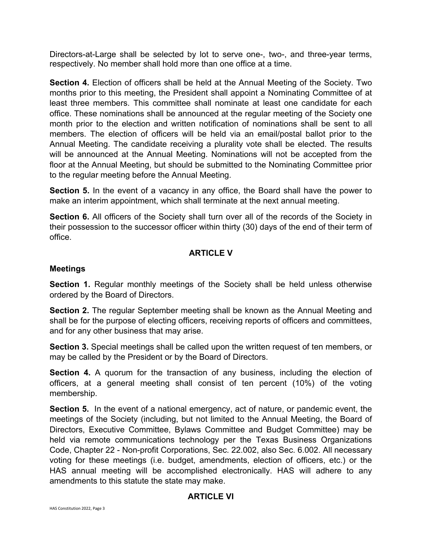Directors-at-Large shall be selected by lot to serve one-, two-, and three-year terms, respectively. No member shall hold more than one office at a time.

**Section 4.** Election of officers shall be held at the Annual Meeting of the Society. Two months prior to this meeting, the President shall appoint a Nominating Committee of at least three members. This committee shall nominate at least one candidate for each office. These nominations shall be announced at the regular meeting of the Society one month prior to the election and written notification of nominations shall be sent to all members. The election of officers will be held via an email/postal ballot prior to the Annual Meeting. The candidate receiving a plurality vote shall be elected. The results will be announced at the Annual Meeting. Nominations will not be accepted from the floor at the Annual Meeting, but should be submitted to the Nominating Committee prior to the regular meeting before the Annual Meeting.

**Section 5.** In the event of a vacancy in any office, the Board shall have the power to make an interim appointment, which shall terminate at the next annual meeting.

**Section 6.** All officers of the Society shall turn over all of the records of the Society in their possession to the successor officer within thirty (30) days of the end of their term of office.

## **ARTICLE V**

#### **Meetings**

**Section 1.** Regular monthly meetings of the Society shall be held unless otherwise ordered by the Board of Directors.

**Section 2.** The regular September meeting shall be known as the Annual Meeting and shall be for the purpose of electing officers, receiving reports of officers and committees, and for any other business that may arise.

**Section 3.** Special meetings shall be called upon the written request of ten members, or may be called by the President or by the Board of Directors.

**Section 4.** A quorum for the transaction of any business, including the election of officers, at a general meeting shall consist of ten percent (10%) of the voting membership.

**Section 5.** In the event of a national emergency, act of nature, or pandemic event, the meetings of the Society (including, but not limited to the Annual Meeting, the Board of Directors, Executive Committee, Bylaws Committee and Budget Committee) may be held via remote communications technology per the Texas Business Organizations Code, Chapter 22 - Non-profit Corporations, Sec. 22.002, also Sec. 6.002. All necessary voting for these meetings (i.e. budget, amendments, election of officers, etc.) or the HAS annual meeting will be accomplished electronically. HAS will adhere to any amendments to this statute the state may make.

## **ARTICLE VI**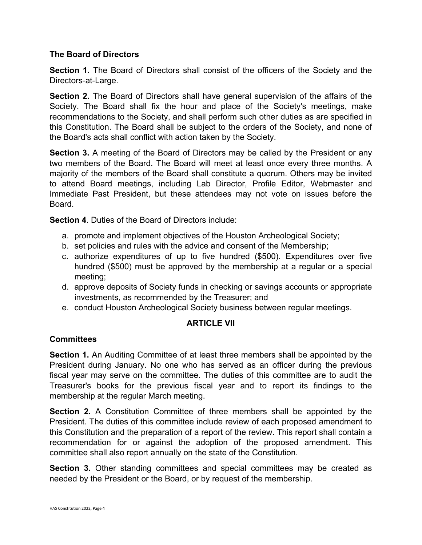## **The Board of Directors**

**Section 1.** The Board of Directors shall consist of the officers of the Society and the Directors-at-Large.

**Section 2.** The Board of Directors shall have general supervision of the affairs of the Society. The Board shall fix the hour and place of the Society's meetings, make recommendations to the Society, and shall perform such other duties as are specified in this Constitution. The Board shall be subject to the orders of the Society, and none of the Board's acts shall conflict with action taken by the Society.

**Section 3.** A meeting of the Board of Directors may be called by the President or any two members of the Board. The Board will meet at least once every three months. A majority of the members of the Board shall constitute a quorum. Others may be invited to attend Board meetings, including Lab Director, Profile Editor, Webmaster and Immediate Past President, but these attendees may not vote on issues before the Board.

**Section 4**. Duties of the Board of Directors include:

- a. promote and implement objectives of the Houston Archeological Society;
- b. set policies and rules with the advice and consent of the Membership;
- c. authorize expenditures of up to five hundred (\$500). Expenditures over five hundred (\$500) must be approved by the membership at a regular or a special meeting;
- d. approve deposits of Society funds in checking or savings accounts or appropriate investments, as recommended by the Treasurer; and
- e. conduct Houston Archeological Society business between regular meetings.

#### **ARTICLE VII**

#### **Committees**

**Section 1.** An Auditing Committee of at least three members shall be appointed by the President during January. No one who has served as an officer during the previous fiscal year may serve on the committee. The duties of this committee are to audit the Treasurer's books for the previous fiscal year and to report its findings to the membership at the regular March meeting.

**Section 2.** A Constitution Committee of three members shall be appointed by the President. The duties of this committee include review of each proposed amendment to this Constitution and the preparation of a report of the review. This report shall contain a recommendation for or against the adoption of the proposed amendment. This committee shall also report annually on the state of the Constitution.

**Section 3.** Other standing committees and special committees may be created as needed by the President or the Board, or by request of the membership.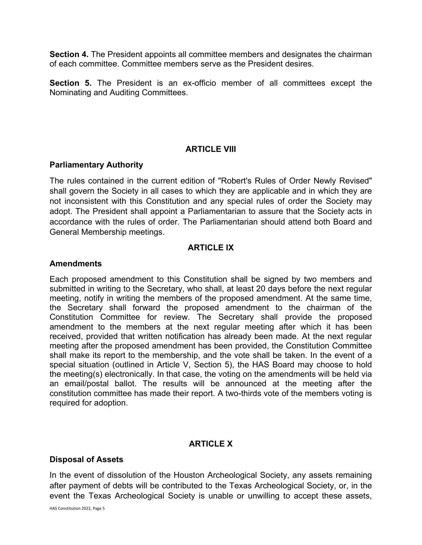**Section 4.** The President appoints all committee members and designates the chairman of each committee. Committee members serve as the President desires.

**Section 5.** The President is an ex-officio member of all committees except the Nominating and Auditing Committees.

## **ARTICLE VIII**

#### **Parliamentary Authority**

The rules contained in the current edition of "Robert's Rules of Order Newly Revised" shall govern the Society in all cases to which they are applicable and in which they are not inconsistent with this Constitution and any special rules of order the Society may adopt. The President shall appoint a Parliamentarian to assure that the Society acts in accordance with the rules of order. The Parliamentarian should attend both Board and General Membership meetings.

#### **ARTICLE IX**

#### **Amendments**

Each proposed amendment to this Constitution shall be signed by two members and submitted in writing to the Secretary, who shall, at least 20 days before the next regular meeting, notify in writing the members of the proposed amendment. At the same time, the Secretary shall forward the proposed amendment to the chairman of the Constitution Committee for review. The Secretary shall provide the proposed amendment to the members at the next regular meeting after which it has been received, provided that written notification has already been made. At the next regular meeting after the proposed amendment has been provided, the Constitution Committee shall make its report to the membership, and the vote shall be taken. In the event of a special situation (outlined in Article V, Section 5), the HAS Board may choose to hold the meeting(s) electronically. In that case, the voting on the amendments will be held via an email/postal ballot. The results will be announced at the meeting after the constitution committee has made their report. A two-thirds vote of the members voting is required for adoption.

#### **ARTICLE X**

#### **Disposal of Assets**

In the event of dissolution of the Houston Archeological Society, any assets remaining after payment of debts will be contributed to the Texas Archeological Society, or, in the event the Texas Archeological Society is unable or unwilling to accept these assets,